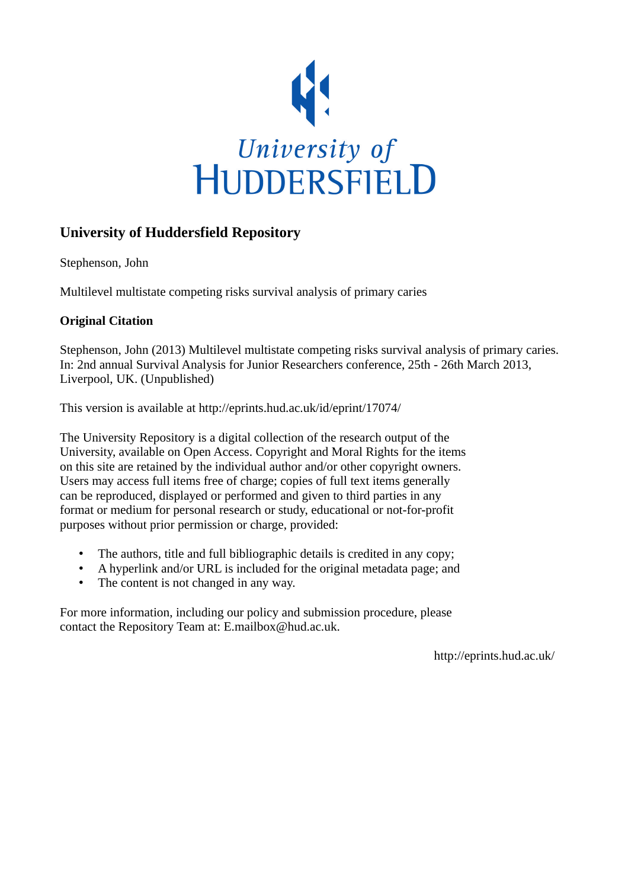

#### **University of Huddersfield Repository**

Stephenson, John

Multilevel multistate competing risks survival analysis of primary caries

#### **Original Citation**

Stephenson, John (2013) Multilevel multistate competing risks survival analysis of primary caries. In: 2nd annual Survival Analysis for Junior Researchers conference, 25th - 26th March 2013, Liverpool, UK. (Unpublished)

This version is available at http://eprints.hud.ac.uk/id/eprint/17074/

The University Repository is a digital collection of the research output of the University, available on Open Access. Copyright and Moral Rights for the items on this site are retained by the individual author and/or other copyright owners. Users may access full items free of charge; copies of full text items generally can be reproduced, displayed or performed and given to third parties in any format or medium for personal research or study, educational or not-for-profit purposes without prior permission or charge, provided:

- The authors, title and full bibliographic details is credited in any copy;
- A hyperlink and/or URL is included for the original metadata page; and
- The content is not changed in any way.

For more information, including our policy and submission procedure, please contact the Repository Team at: E.mailbox@hud.ac.uk.

http://eprints.hud.ac.uk/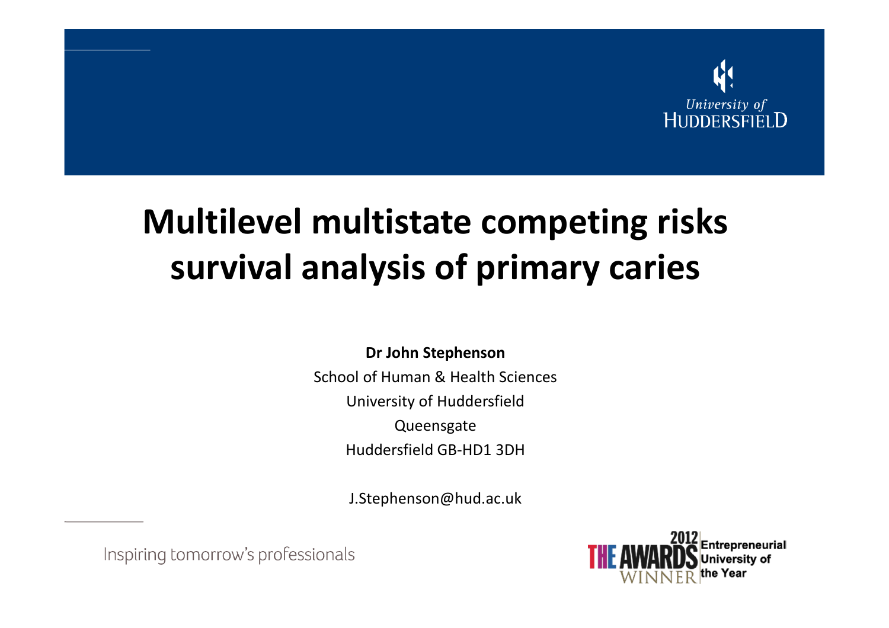

# Multilevel multistate competing risks survival analysis of primary caries

Dr John StephensonSchool of Human & Health SciencesUniversity of HuddersfieldQueensgate

Huddersfield GB-HD1 3DH

J.Stephenson@hud.ac.uk

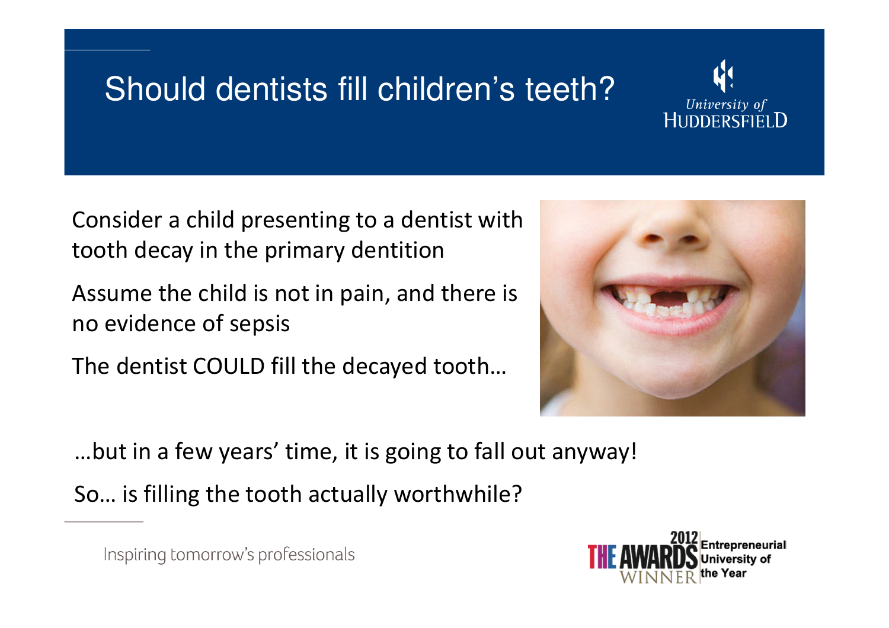# Should dentists fill children's teeth?



Consider a child presenting to a dentist with tooth decay in the primary dentition

Assume the child is not in pain, and there is no evidence of sepsis

The dentist COULD fill the decayed tooth…



…but in a few years' time, it is going to fall out anyway!

So… is filling the tooth actually worthwhile?

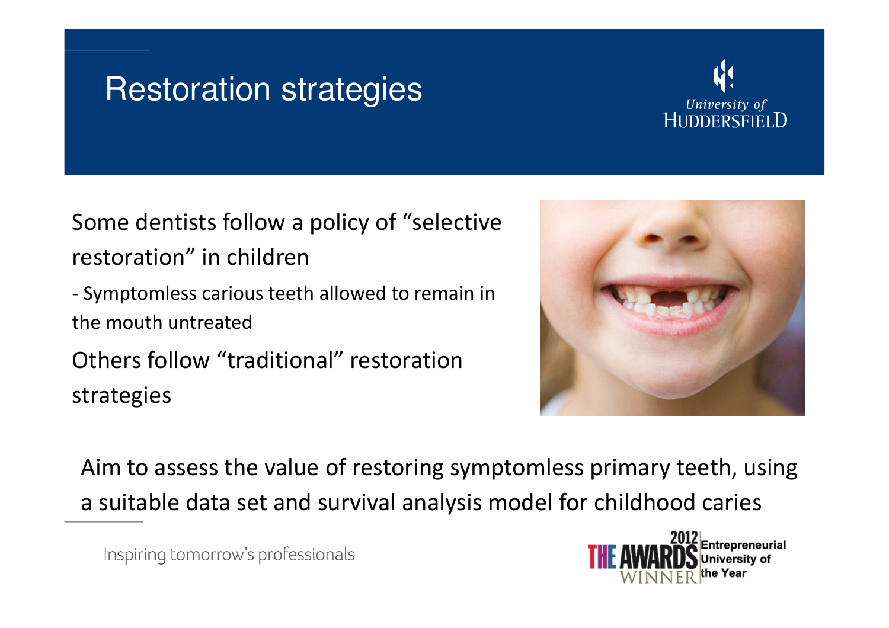#### Restoration strategies



Some dentists follow a policy of "selective restoration" in children

 Symptomless carious teeth allowed to remain in the mouth untreated

Others follow "traditional" restoration strategies



Aim to assess the value of restoring symptomless primary teeth, using a suitable data set and survival analysis model for childhood caries

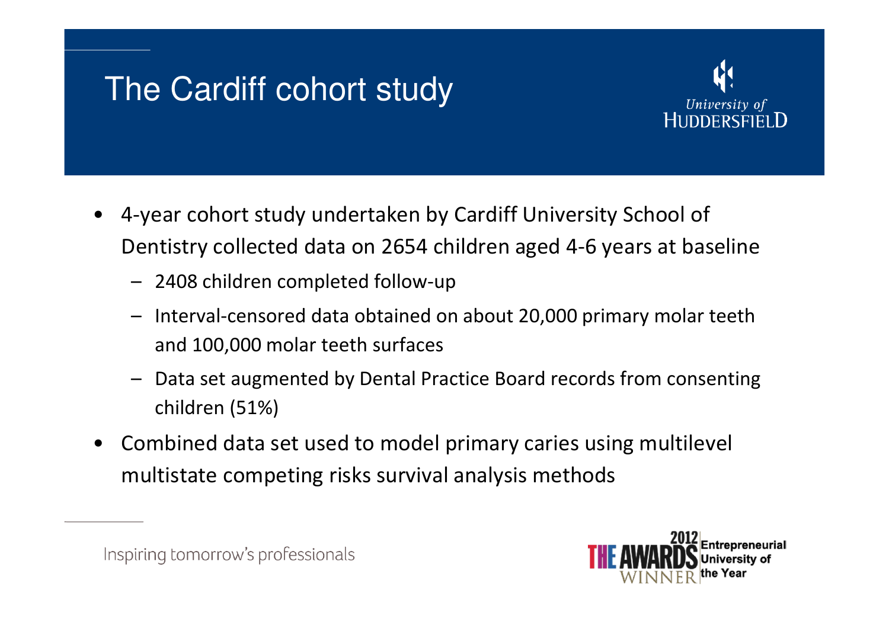### The Cardiff cohort study



- • 4-year cohort study undertaken by Cardiff University School of Dentistry collected data on 2654 children aged 4-6 years at baseline
	- 2408 children completed follow-up
	- Interval-censored data obtained on about 20,000 primary molar teeth and 100,000 molar teeth surfaces
	- Data set augmented by Dental Practice Board records from consenting children (51%)
- • Combined data set used to model primary caries using multilevel multistate competing risks survival analysis methods

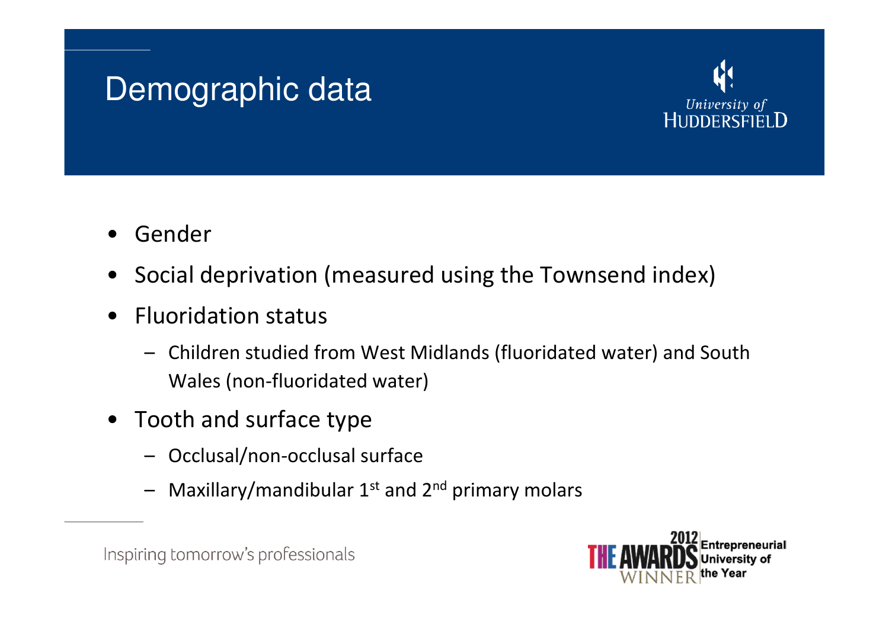### Demographic data



- •Gender
- Social deprivation (measured using the Townsend index)
- $\bullet$  Fluoridation status
	- Children studied from West Midlands (fluoridated water) and South Wales (non-fluoridated water)
- Tooth and surface type
	- Occlusal/non-occlusal surface
	- Maxillary/mandibular  $1<sup>st</sup>$  and  $2<sup>nd</sup>$  primary molars



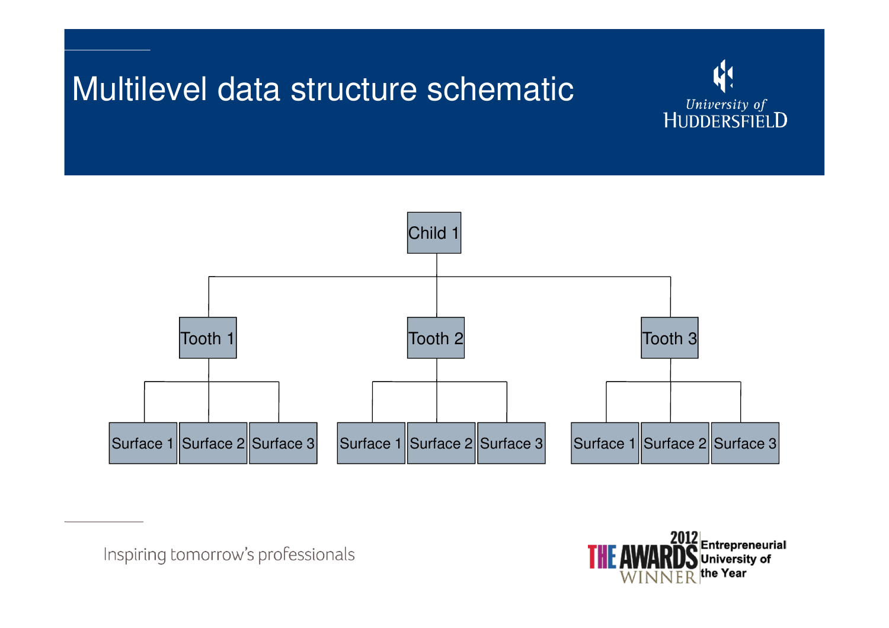#### Multilevel data structure schematic





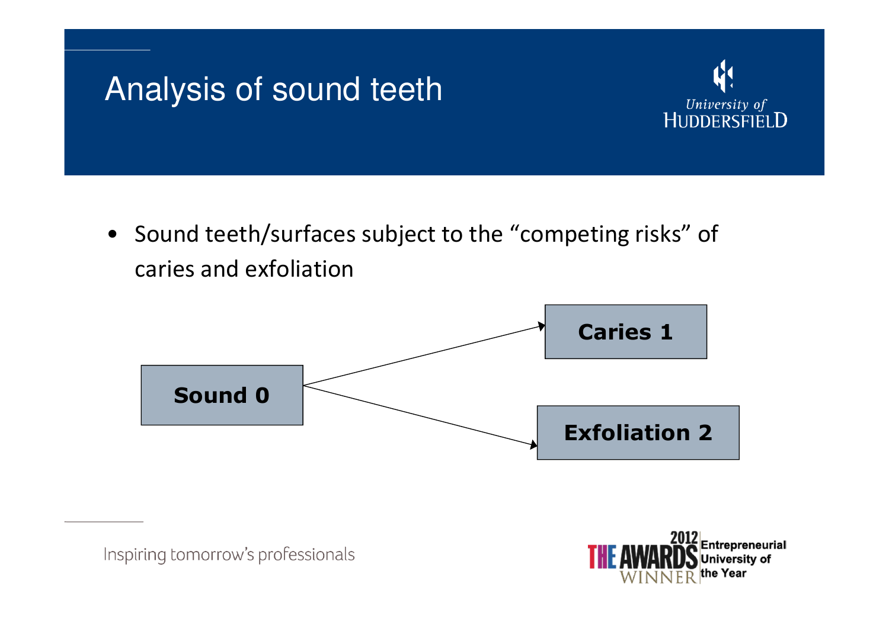

• Sound teeth/surfaces subject to the "competing risks" of caries and exfoliation





University of HUDDERSFIELD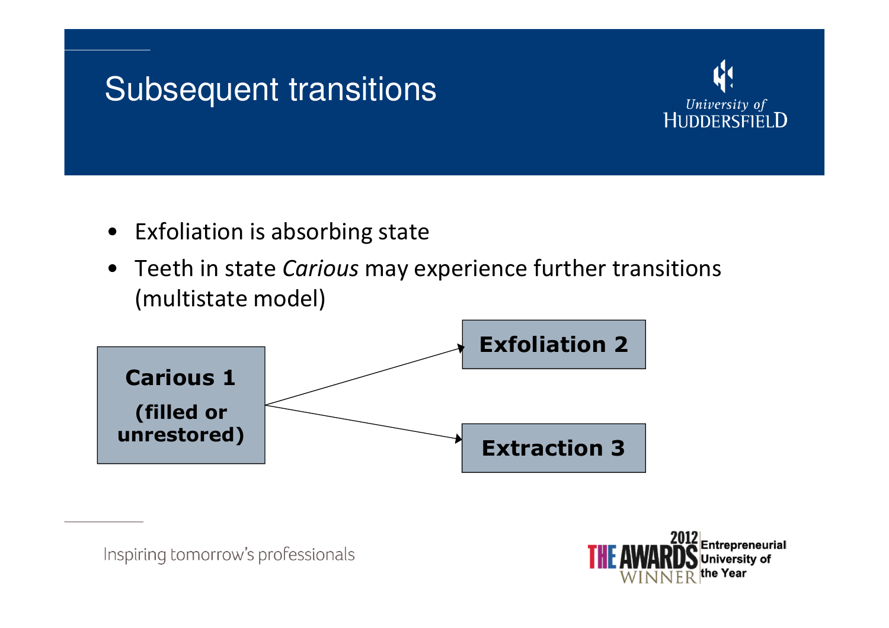#### Subsequent transitions



- Exfoliation is absorbing state
- Teeth in state Carious may experience further transitions (multistate model)



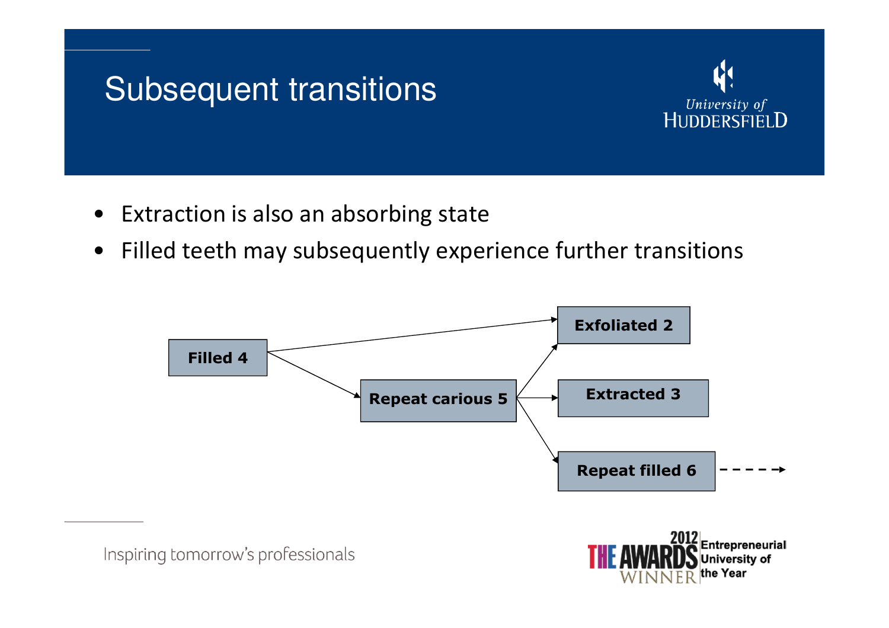# Subsequent transitions



- Extraction is also an absorbing state
- $\bullet$ Filled teeth may subsequently experience further transitions

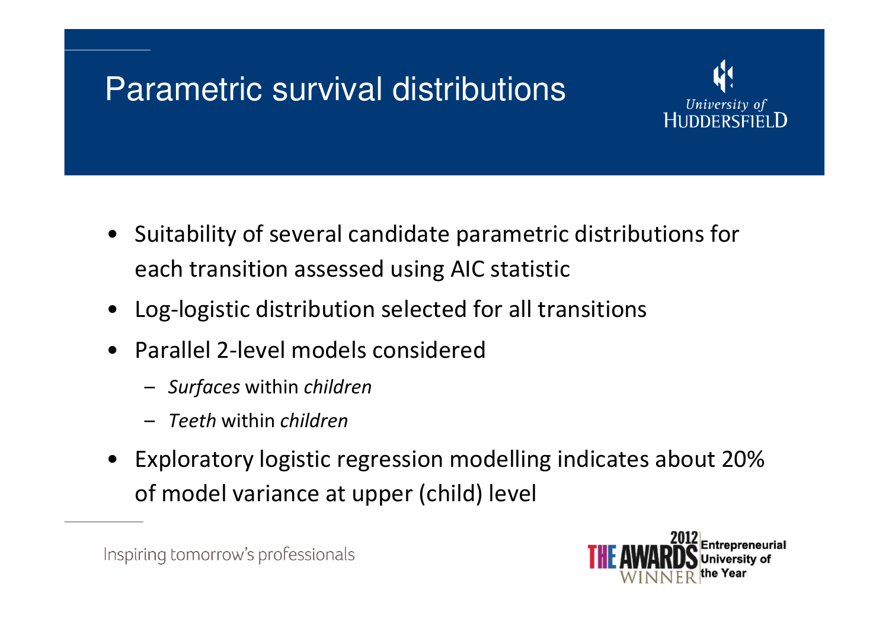## Parametric survival distributions



- Suitability of several candidate parametric distributions for each transition assessed using AIC statistic
- Log-logistic distribution selected for all transitions
- • Parallel 2-level models considered
	- Surfaces within children
	- Teeth within children
- Exploratory logistic regression modelling indicates about 20% of model variance at upper (child) level

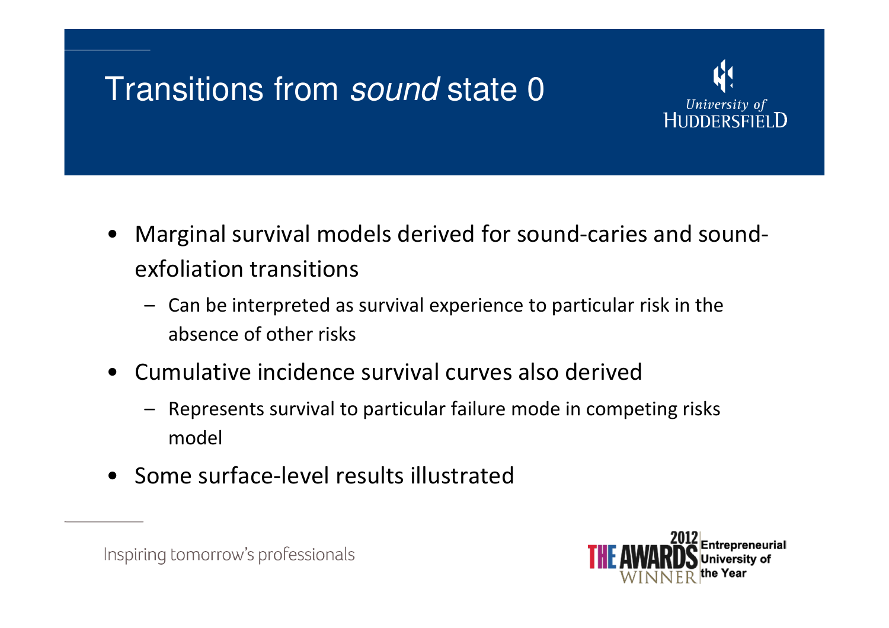### Transitions from sound state 0



- Marginal survival models derived for sound-caries and soundexfoliation transitions
	- Can be interpreted as survival experience to particular risk in the absence of other risks
- Cumulative incidence survival curves also derived
	- Represents survival to particular failure mode in competing risks model
- Some surface-level results illustrated



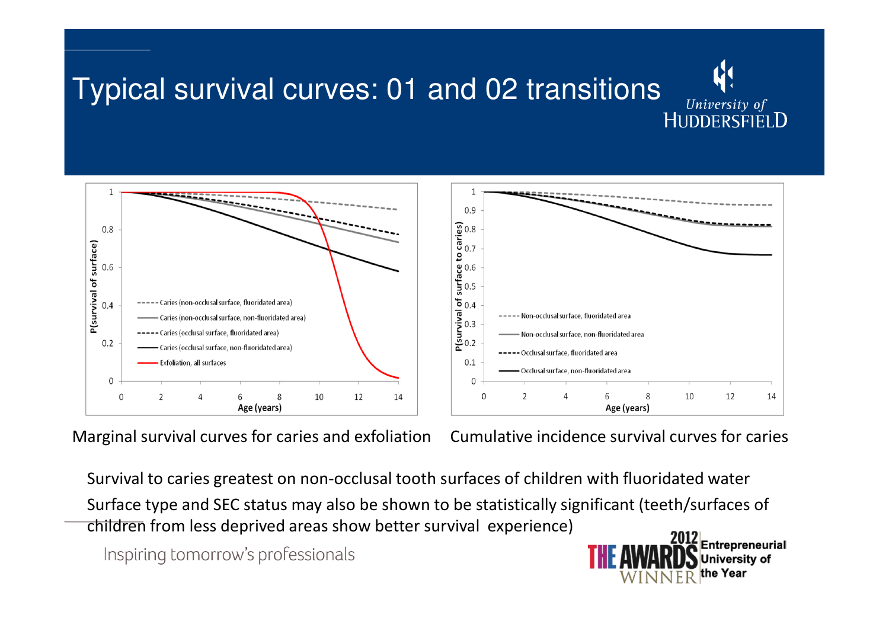



Marginal survival curves for caries and exfoliation

Cumulative incidence survival curves for caries

Survival to caries greatest on non-occlusal tooth surfaces of children with fluoridated water

Surface type and SEC status may also be shown to be statistically significant (teeth/surfaces of children from less deprived areas show better survival experience)

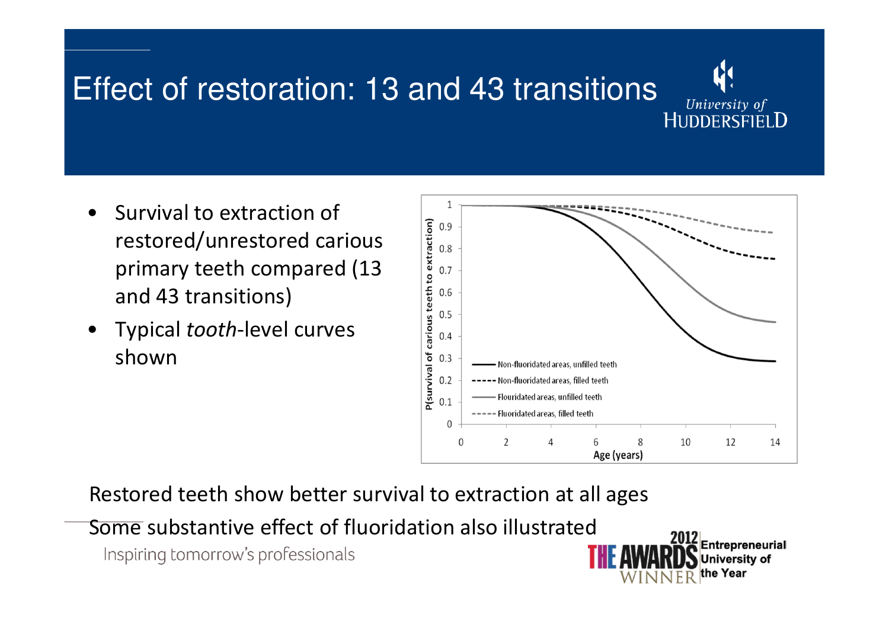# Effect of restoration: 13 and 43 transitions



- • Survival to extraction of restored/unrestored carious primary teeth compared (13 and 43 transitions)
- • Typical tooth-level curves shown



Restored teeth show better survival to extraction at all ages

Some substantive effect of fluoridation also illustrated

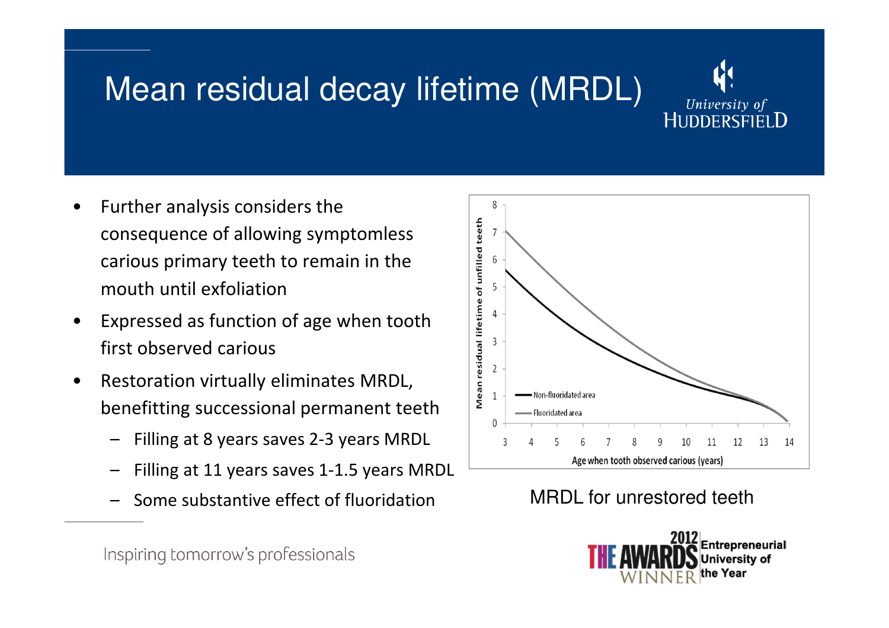# Mean residual decay lifetime (MRDL)



- • Further analysis considers the consequence of allowing symptomless carious primary teeth to remain in the mouth until exfoliation
- • Expressed as function of age when tooth first observed carious
- • Restoration virtually eliminates MRDL, benefitting successional permanent teeth
	- Filling at 8 years saves 2-3 years MRDL
	- Filling at 11 years saves 1-1.5 years MRDL
	- Some substantive effect of fluoridation



MRDL for unrestored teeth

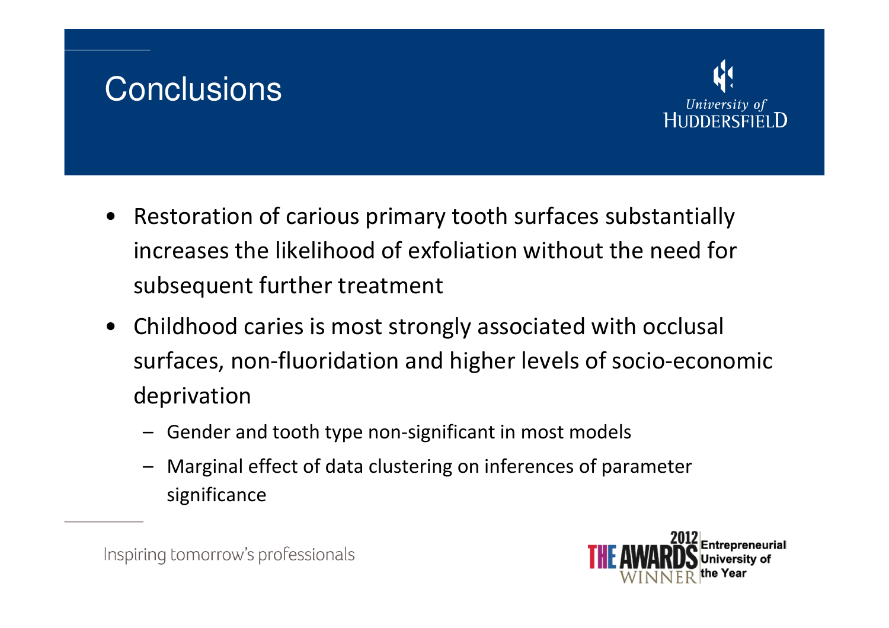#### **Conclusions**



- Restoration of carious primary tooth surfaces substantially increases the likelihood of exfoliation without the need for subsequent further treatment
- Childhood caries is most strongly associated with occlusal surfaces, non-fluoridation and higher levels of socio-economic deprivation
	- Gender and tooth type non-significant in most models
	- Marginal effect of data clustering on inferences of parameter significance